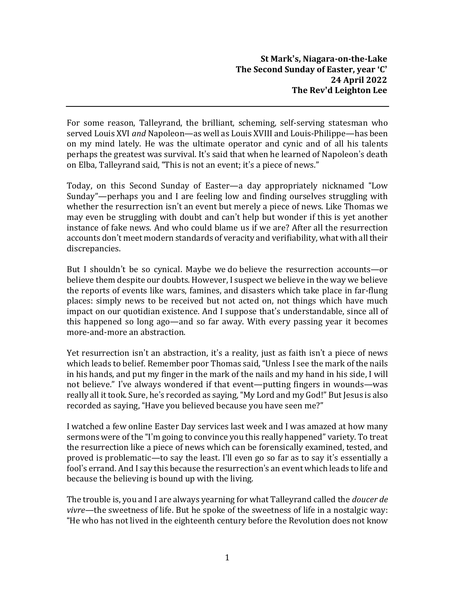For some reason, Talleyrand, the brilliant, scheming, self-serving statesman who served Louis XVI *and* Napoleon—as well as Louis XVIII and Louis-Philippe—has been on my mind lately. He was the ultimate operator and cynic and of all his talents perhaps the greatest was survival. It's said that when he learned of Napoleon's death on Elba, Talleyrand said, "This is not an event; it's a piece of news."

Today, on this Second Sunday of Easter—a day appropriately nicknamed "Low Sunday"—perhaps you and I are feeling low and finding ourselves struggling with whether the resurrection isn't an event but merely a piece of news. Like Thomas we may even be struggling with doubt and can't help but wonder if this is yet another instance of fake news. And who could blame us if we are? After all the resurrection accounts don't meet modern standards of veracity and verifiability, what with all their discrepancies.

But I shouldn't be so cynical. Maybe we do believe the resurrection accounts—or believe them despite our doubts. However, I suspect we believe in the way we believe the reports of events like wars, famines, and disasters which take place in far-flung places: simply news to be received but not acted on, not things which have much impact on our quotidian existence. And I suppose that's understandable, since all of this happened so long ago—and so far away. With every passing year it becomes more-and-more an abstraction.

Yet resurrection isn't an abstraction, it's a reality, just as faith isn't a piece of news which leads to belief. Remember poor Thomas said, "Unless I see the mark of the nails in his hands, and put my finger in the mark of the nails and my hand in his side, I will not believe." I've always wondered if that event—putting fingers in wounds—was really all it took.Sure, he's recorded as saying, "My Lord and my God!" But Jesus is also recorded as saying, "Have you believed because you have seen me?"

I watched a few online Easter Day services last week and I was amazed at how many sermons were of the "I'm going to convince you this really happened" variety. To treat the resurrection like a piece of news which can be forensically examined, tested, and proved is problematic—to say the least. I'll even go so far as to say it's essentially a fool's errand. And I say this because the resurrection's an event which leads to life and because the believing is bound up with the living.

The trouble is, you and I are always yearning for what Talleyrand called the *doucer de vivre*—the sweetness of life. But he spoke of the sweetness of life in a nostalgic way: "He who has not lived in the eighteenth century before the Revolution does not know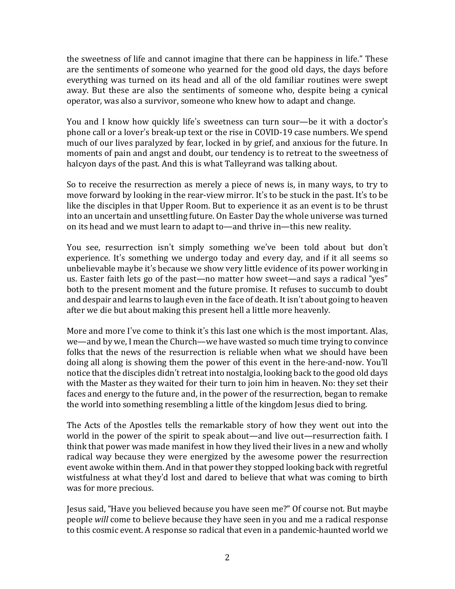the sweetness of life and cannot imagine that there can be happiness in life." These are the sentiments of someone who yearned for the good old days, the days before everything was turned on its head and all of the old familiar routines were swept away. But these are also the sentiments of someone who, despite being a cynical operator, was also a survivor, someone who knew how to adapt and change.

You and I know how quickly life's sweetness can turn sour—be it with a doctor's phone call or a lover's break-up text or the rise in COVID-19 case numbers. We spend much of our lives paralyzed by fear, locked in by grief, and anxious for the future. In moments of pain and angst and doubt, our tendency is to retreat to the sweetness of halcyon days of the past. And this is what Talleyrand was talking about.

So to receive the resurrection as merely a piece of news is, in many ways, to try to move forward by looking in the rear-view mirror. It's to be stuck in the past. It's to be like the disciples in that Upper Room. But to experience it as an event is to be thrust into an uncertain and unsettling future. On Easter Day the whole universe was turned on its head and we must learn to adapt to—and thrive in—this new reality.

You see, resurrection isn't simply something we've been told about but don't experience. It's something we undergo today and every day, and if it all seems so unbelievable maybe it's because we show very little evidence of its power working in us. Easter faith lets go of the past—no matter how sweet—and says a radical "yes" both to the present moment and the future promise. It refuses to succumb to doubt and despair and learns to laugh even in the face of death. It isn't about going to heaven after we die but about making this present hell a little more heavenly.

More and more I've come to think it's this last one which is the most important. Alas, we—and by we, I mean the Church—we have wasted so much time trying to convince folks that the news of the resurrection is reliable when what we should have been doing all along is showing them the power of this event in the here-and-now. You'll notice that the disciples didn't retreat into nostalgia, looking back to the good old days with the Master as they waited for their turn to join him in heaven. No: they set their faces and energy to the future and, in the power of the resurrection, began to remake the world into something resembling a little of the kingdom Jesus died to bring.

The Acts of the Apostles tells the remarkable story of how they went out into the world in the power of the spirit to speak about—and live out—resurrection faith. I think that power was made manifest in how they lived their lives in a new and wholly radical way because they were energized by the awesome power the resurrection event awoke within them. And in that power they stopped looking back with regretful wistfulness at what they'd lost and dared to believe that what was coming to birth was for more precious.

Jesus said, "Have you believed because you have seen me?" Of course not. But maybe people *will* come to believe because they have seen in you and me a radical response to this cosmic event. A response so radical that even in a pandemic-haunted world we